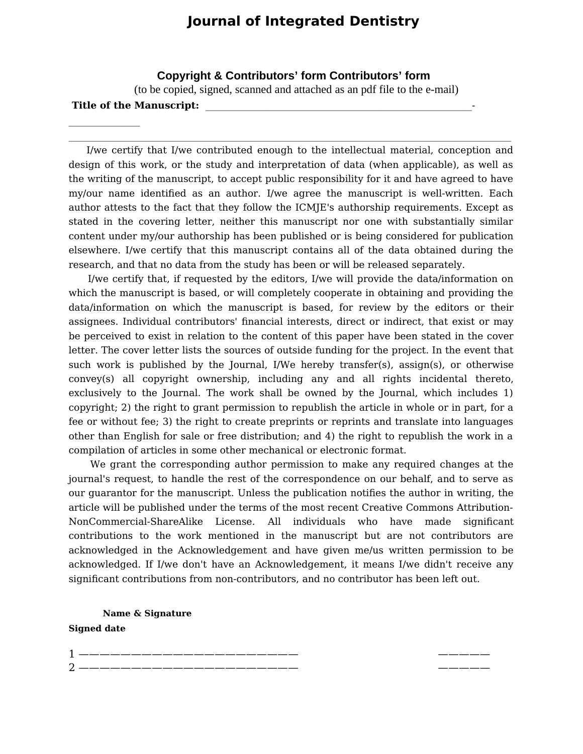## **Journal of Integrated Dentistry**

 **Copyright & Contributors' form Contributors' form**  (to be copied, signed, scanned and attached as an pdf file to the e-mail)

## Title of the Manuscript:

 $\mathcal{L}_\text{max}$ 

 I/we certify that I/we contributed enough to the intellectual material, conception and design of this work, or the study and interpretation of data (when applicable), as well as the writing of the manuscript, to accept public responsibility for it and have agreed to have my/our name identified as an author. I/we agree the manuscript is well-written. Each author attests to the fact that they follow the ICMJE's authorship requirements. Except as stated in the covering letter, neither this manuscript nor one with substantially similar content under my/our authorship has been published or is being considered for publication elsewhere. I/we certify that this manuscript contains all of the data obtained during the research, and that no data from the study has been or will be released separately.

 $\mathcal{L}_\mathcal{L} = \mathcal{L}_\mathcal{L}$ 

 I/we certify that, if requested by the editors, I/we will provide the data/information on which the manuscript is based, or will completely cooperate in obtaining and providing the data/information on which the manuscript is based, for review by the editors or their assignees. Individual contributors' financial interests, direct or indirect, that exist or may be perceived to exist in relation to the content of this paper have been stated in the cover letter. The cover letter lists the sources of outside funding for the project. In the event that such work is published by the Journal, I/We hereby transfer(s), assign(s), or otherwise convey(s) all copyright ownership, including any and all rights incidental thereto, exclusively to the Journal. The work shall be owned by the Journal, which includes 1) copyright; 2) the right to grant permission to republish the article in whole or in part, for a fee or without fee; 3) the right to create preprints or reprints and translate into languages other than English for sale or free distribution; and 4) the right to republish the work in a compilation of articles in some other mechanical or electronic format.

 We grant the corresponding author permission to make any required changes at the journal's request, to handle the rest of the correspondence on our behalf, and to serve as our guarantor for the manuscript. Unless the publication notifies the author in writing, the article will be published under the terms of the most recent Creative Commons Attribution-NonCommercial-ShareAlike License. All individuals who have made significant contributions to the work mentioned in the manuscript but are not contributors are acknowledged in the Acknowledgement and have given me/us written permission to be acknowledged. If I/we don't have an Acknowledgement, it means I/we didn't receive any significant contributions from non-contributors, and no contributor has been left out.

**Name & Signature Signed date**

1 ————————————————————— ————— 2 ————————————————————— —————